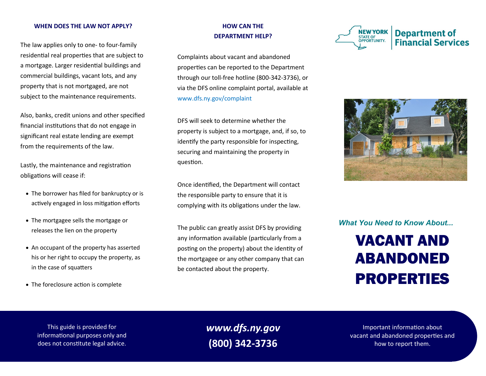#### **WHEN DOES THE LAW NOT APPLY?**

The law applies only to one- to four-family residential real properties that are subject to a mortgage. Larger residential buildings and commercial buildings, vacant lots, and any property that is not mortgaged, are not subject to the maintenance requirements.

Also, banks, credit unions and other specified financial institutions that do not engage in significant real estate lending are exempt from the requirements of the law.

Lastly, the maintenance and registration obligations will cease if:

- The borrower has filed for bankruptcy or is actively engaged in loss mitigation efforts
- The mortgagee sells the mortgage or releases the lien on the property
- An occupant of the property has asserted his or her right to occupy the property, as in the case of squatters
- The foreclosure action is complete

## **HOW CAN THE DEPARTMENT HELP?**

Complaints about vacant and abandoned properties can be reported to the Department through our toll-free hotline (800-342-3736), or via the DFS online complaint portal, available at www.dfs.ny.gov/complaint

DFS will seek to determine whether the property is subject to a mortgage, and, if so, to identify the party responsible for inspecting, securing and maintaining the property in question.

Once identified, the Department will contact the responsible party to ensure that it is complying with its obligations under the law.

The public can greatly assist DFS by providing any information available (particularly from a posting on the property) about the identity of the mortgagee or any other company that can be contacted about the property.





# *What You Need to Know About...*

# VACANT AND ABANDONED PROPERTIES

This guide is provided for informational purposes only and does not constitute legal advice.

*www.dfs.ny.gov* **(800) 342-3736**

Important information about vacant and abandoned properties and how to report them.